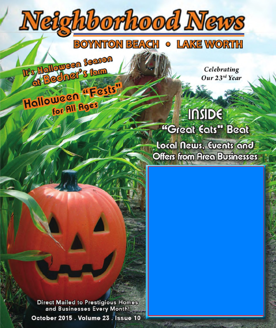

Offers from Area Businesses

**Direct Mailed to Prestigious Homes** and Businesses Every Month! October 2015 . Volume 23 . Issue 10